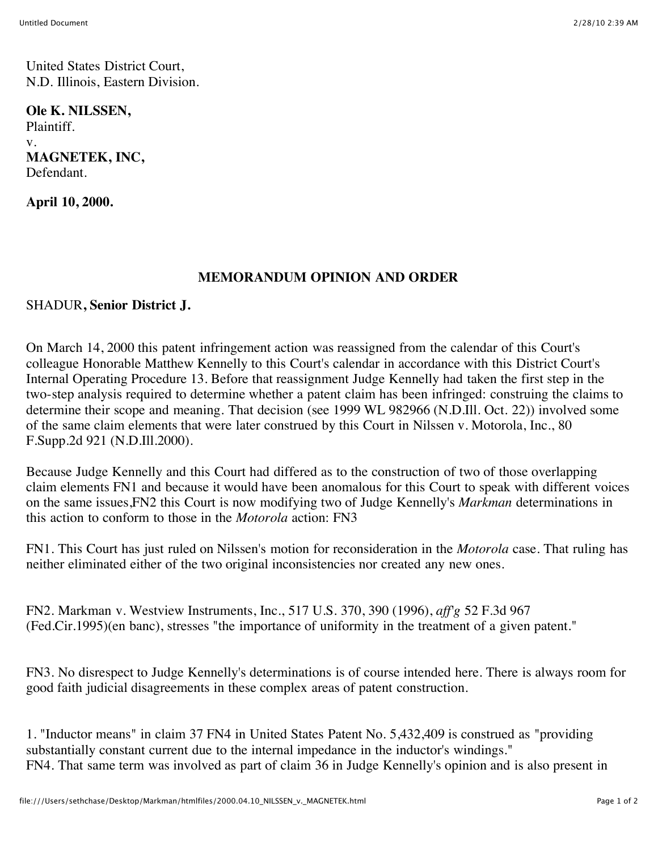United States District Court, N.D. Illinois, Eastern Division.

**Ole K. NILSSEN,** Plaintiff. v. **MAGNETEK, INC,** Defendant.

**April 10, 2000.**

## **MEMORANDUM OPINION AND ORDER**

## SHADUR**, Senior District J.**

On March 14, 2000 this patent infringement action was reassigned from the calendar of this Court's colleague Honorable Matthew Kennelly to this Court's calendar in accordance with this District Court's Internal Operating Procedure 13. Before that reassignment Judge Kennelly had taken the first step in the two-step analysis required to determine whether a patent claim has been infringed: construing the claims to determine their scope and meaning. That decision (see 1999 WL 982966 (N.D.Ill. Oct. 22)) involved some of the same claim elements that were later construed by this Court in Nilssen v. Motorola, Inc., 80 F.Supp.2d 921 (N.D.Ill.2000).

Because Judge Kennelly and this Court had differed as to the construction of two of those overlapping claim elements FN1 and because it would have been anomalous for this Court to speak with different voices on the same issues,FN2 this Court is now modifying two of Judge Kennelly's *Markman* determinations in this action to conform to those in the *Motorola* action: FN3

FN1. This Court has just ruled on Nilssen's motion for reconsideration in the *Motorola* case. That ruling has neither eliminated either of the two original inconsistencies nor created any new ones.

FN2. Markman v. Westview Instruments, Inc., 517 U.S. 370, 390 (1996), *aff'g* 52 F.3d 967 (Fed.Cir.1995)(en banc), stresses "the importance of uniformity in the treatment of a given patent."

FN3. No disrespect to Judge Kennelly's determinations is of course intended here. There is always room for good faith judicial disagreements in these complex areas of patent construction.

1. "Inductor means" in claim 37 FN4 in United States Patent No. 5,432,409 is construed as "providing substantially constant current due to the internal impedance in the inductor's windings." FN4. That same term was involved as part of claim 36 in Judge Kennelly's opinion and is also present in